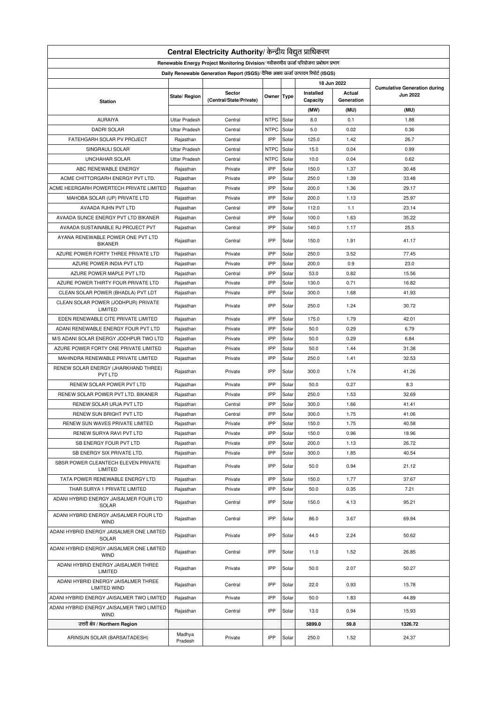| Central Electricity Authority/ केन्द्रीय विद्युत प्राधिकरण                           |                      |                         |             |       |           |            |                                                        |  |  |
|--------------------------------------------------------------------------------------|----------------------|-------------------------|-------------|-------|-----------|------------|--------------------------------------------------------|--|--|
| Renewable Energy Project Monitoring Division/ नवीकरणीय ऊर्जा परियोजना प्रबोधन प्रभाग |                      |                         |             |       |           |            |                                                        |  |  |
| Daily Renewable Generation Report (ISGS)/ दैनिक अक्षय ऊर्जा उत्पादन रिपोर्ट (ISGS)   |                      |                         |             |       |           |            |                                                        |  |  |
| 18 Jun 2022                                                                          |                      |                         |             |       |           |            |                                                        |  |  |
|                                                                                      |                      | Sector                  |             |       | Installed | Actual     | <b>Cumulative Generation during</b><br><b>Jun 2022</b> |  |  |
| <b>Station</b>                                                                       | State/ Region        | (Central/State/Private) | Owner Type  |       | Capacity  | Generation |                                                        |  |  |
|                                                                                      |                      |                         |             |       | (MW)      | (MU)       | (MU)                                                   |  |  |
| <b>AURAIYA</b>                                                                       | <b>Uttar Pradesh</b> | Central                 | <b>NTPC</b> | Solar | 8.0       | 0.1        | 1.88                                                   |  |  |
| <b>DADRI SOLAR</b>                                                                   | <b>Uttar Pradesh</b> | Central                 | <b>NTPC</b> | Solar | 5.0       | 0.02       | 0.36                                                   |  |  |
| FATEHGARH SOLAR PV PROJECT                                                           | Rajasthan            | Central                 | IPP         | Solar | 125.0     | 1.42       | 26.7                                                   |  |  |
| SINGRAULI SOLAR                                                                      | <b>Uttar Pradesh</b> | Central                 | <b>NTPC</b> | Solar | 15.0      | 0.04       | 0.99                                                   |  |  |
| <b>UNCHAHAR SOLAR</b>                                                                | <b>Uttar Pradesh</b> | Central                 | <b>NTPC</b> | Solar | 10.0      | 0.04       | 0.62                                                   |  |  |
| ABC RENEWABLE ENERGY                                                                 | Rajasthan            | Private                 | IPP         | Solar | 150.0     | 1.37       | 30.48                                                  |  |  |
| ACME CHITTORGARH ENERGY PVT LTD.                                                     | Rajasthan            | Private                 | IPP         | Solar | 250.0     | 1.39       | 33.48                                                  |  |  |
| ACME HEERGARH POWERTECH PRIVATE LIMITED                                              | Rajasthan            | Private                 | IPP         | Solar | 200.0     | 1.36       | 29.17                                                  |  |  |
| MAHOBA SOLAR (UP) PRIVATE LTD                                                        | Rajasthan            | Private                 | IPP         | Solar | 200.0     | 1.13       | 25.97                                                  |  |  |
| AVAADA RJHN PVT LTD                                                                  | Rajasthan            | Central                 | IPP         | Solar | 112.0     | 1.1        | 23.14                                                  |  |  |
| AVAADA SUNCE ENERGY PVT LTD BIKANER                                                  | Rajasthan            | Central                 | IPP         | Solar | 100.0     | 1.63       | 35.22                                                  |  |  |
| AVAADA SUSTAINABLE RJ PROJECT PVT                                                    | Rajasthan            | Central                 | IPP         | Solar | 140.0     | 1.17       | 25.5                                                   |  |  |
| AYANA RENEWABLE POWER ONE PVT LTD                                                    |                      |                         |             |       |           |            |                                                        |  |  |
| <b>BIKANER</b>                                                                       | Rajasthan            | Central                 | IPP         | Solar | 150.0     | 1.91       | 41.17                                                  |  |  |
| AZURE POWER FORTY THREE PRIVATE LTD                                                  | Rajasthan            | Private                 | IPP         | Solar | 250.0     | 3.52       | 77.45                                                  |  |  |
| AZURE POWER INDIA PVT LTD                                                            | Rajasthan            | Private                 | IPP         | Solar | 200.0     | 0.9        | 23.0                                                   |  |  |
| AZURE POWER MAPLE PVT LTD                                                            | Rajasthan            | Central                 | IPP         | Solar | 53.0      | 0.82       | 15.56                                                  |  |  |
| AZURE POWER THIRTY FOUR PRIVATE LTD                                                  | Rajasthan            | Private                 | IPP         | Solar | 130.0     | 0.71       | 16.82                                                  |  |  |
| CLEAN SOLAR POWER (BHADLA) PVT LDT                                                   | Rajasthan            | Private                 | IPP         | Solar | 300.0     | 1.68       | 41.93                                                  |  |  |
| CLEAN SOLAR POWER (JODHPUR) PRIVATE<br>LIMITED                                       | Rajasthan            | Private                 | IPP         | Solar | 250.0     | 1.24       | 30.72                                                  |  |  |
| EDEN RENEWABLE CITE PRIVATE LIMITED                                                  | Rajasthan            | Private                 | IPP         | Solar | 175.0     | 1.79       | 42.01                                                  |  |  |
| ADANI RENEWABLE ENERGY FOUR PVT LTD                                                  | Rajasthan            | Private                 | IPP         | Solar | 50.0      | 0.29       | 6.79                                                   |  |  |
|                                                                                      |                      | Private                 | IPP         | Solar | 50.0      | 0.29       | 6.84                                                   |  |  |
| M/S ADANI SOLAR ENERGY JODHPUR TWO LTD                                               | Rajasthan            |                         | IPP         |       |           |            |                                                        |  |  |
| AZURE POWER FORTY ONE PRIVATE LIMITED                                                | Rajasthan            | Private                 |             | Solar | 50.0      | 1.44       | 31.38                                                  |  |  |
| MAHINDRA RENEWABLE PRIVATE LIMITED                                                   | Rajasthan            | Private                 | IPP         | Solar | 250.0     | 1.41       | 32.53                                                  |  |  |
| RENEW SOLAR ENERGY (JHARKHAND THREE)<br>PVT LTD                                      | Rajasthan            | Private                 | IPP         | Solar | 300.0     | 1.74       | 41.26                                                  |  |  |
| RENEW SOLAR POWER PVT LTD                                                            | Rajasthan            | Private                 | IPP         | Solar | 50.0      | 0.27       | 8.3                                                    |  |  |
| RENEW SOLAR POWER PVT LTD. BIKANER                                                   | Rajasthan            | Private                 | IPP         | Solar | 250.0     | 1.53       | 32.69                                                  |  |  |
| RENEW SOLAR URJA PVT LTD                                                             | Rajasthan            | Central                 | IPP         | Solar | 300.0     | 1.66       | 41.41                                                  |  |  |
| RENEW SUN BRIGHT PVT LTD                                                             | Rajasthan            | Central                 | IPP         | Solar | 300.0     | 1.75       | 41.06                                                  |  |  |
| RENEW SUN WAVES PRIVATE LIMITED                                                      | Rajasthan            | Private                 | IPP         | Solar | 150.0     | 1.75       | 40.58                                                  |  |  |
| RENEW SURYA RAVI PVT LTD                                                             | Rajasthan            | Private                 | IPP         | Solar | 150.0     | 0.96       | 18.96                                                  |  |  |
| SB ENERGY FOUR PVT LTD                                                               | Rajasthan            | Private                 | IPP         | Solar | 200.0     | 1.13       | 26.72                                                  |  |  |
| SB ENERGY SIX PRIVATE LTD.                                                           | Rajasthan            | Private                 | IPP         | Solar | 300.0     | 1.85       | 40.54                                                  |  |  |
| SBSR POWER CLEANTECH ELEVEN PRIVATE                                                  | Rajasthan            | Private                 | IPP         | Solar | 50.0      | 0.94       | 21.12                                                  |  |  |
| LIMITED                                                                              |                      |                         |             |       |           |            |                                                        |  |  |
| TATA POWER RENEWABLE ENERGY LTD                                                      | Rajasthan            | Private                 | IPP         | Solar | 150.0     | 1.77       | 37.67                                                  |  |  |
| THAR SURYA 1 PRIVATE LIMITED                                                         | Rajasthan            | Private                 | IPP         | Solar | 50.0      | 0.35       | 7.21                                                   |  |  |
| ADANI HYBRID ENERGY JAISALMER FOUR LTD<br>SOLAR                                      | Rajasthan            | Central                 | IPP         | Solar | 150.0     | 4.13       | 95.21                                                  |  |  |
| ADANI HYBRID ENERGY JAISALMER FOUR LTD<br><b>WIND</b>                                | Rajasthan            | Central                 | IPP         | Solar | 86.0      | 3.67       | 69.94                                                  |  |  |
| ADANI HYBRID ENERGY JAISALMER ONE LIMITED<br><b>SOLAR</b>                            | Rajasthan            | Private                 | IPP         | Solar | 44.0      | 2.24       | 50.62                                                  |  |  |
| ADANI HYBRID ENERGY JAISALMER ONE LIMITED<br><b>WIND</b>                             | Rajasthan            | Central                 | IPP         | Solar | 11.0      | 1.52       | 26.85                                                  |  |  |
| ADANI HYBRID ENERGY JAISALMER THREE<br>LIMITED                                       | Rajasthan            | Private                 | IPP         | Solar | 50.0      | 2.07       | 50.27                                                  |  |  |
| ADANI HYBRID ENERGY JAISALMER THREE<br>LIMITED WIND                                  | Rajasthan            | Central                 | IPP         | Solar | 22.0      | 0.93       | 15.78                                                  |  |  |
|                                                                                      |                      | Private                 | IPP         | Solar | 50.0      | 1.83       | 44.89                                                  |  |  |
| ADANI HYBRID ENERGY JAISALMER TWO LIMITED                                            | Rajasthan            |                         |             |       |           |            |                                                        |  |  |
| ADANI HYBRID ENERGY JAISALMER TWO LIMITED<br><b>WIND</b>                             | Rajasthan            | Central                 | IPP         | Solar | 13.0      | 0.94       | 15.93                                                  |  |  |
| उत्तरी क्षेत्र / Northern Region                                                     |                      |                         |             |       | 5899.0    | 59.8       | 1326.72                                                |  |  |
| ARINSUN SOLAR (BARSAITADESH)                                                         | Madhya<br>Pradesh    | Private                 | IPP         | Solar | 250.0     | 1.52       | 24.37                                                  |  |  |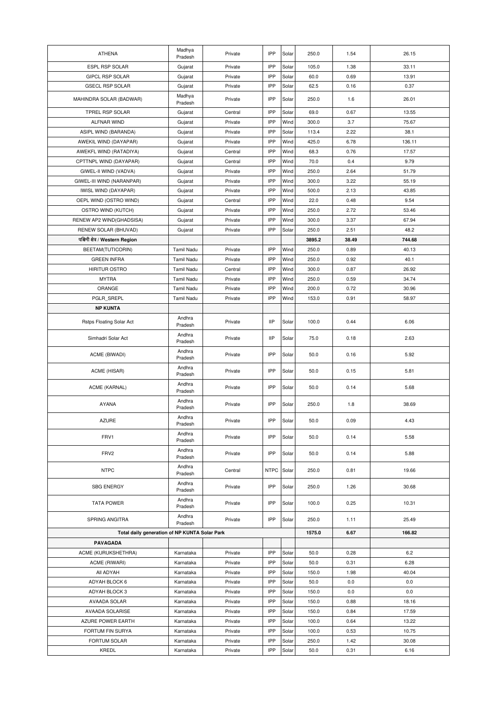| <b>ATHENA</b>                                 | Madhya             | Private | IPP         | Solar | 250.0  | 1.54  | 26.15  |
|-----------------------------------------------|--------------------|---------|-------------|-------|--------|-------|--------|
| <b>ESPL RSP SOLAR</b>                         | Pradesh<br>Gujarat | Private | IPP         | Solar | 105.0  | 1.38  | 33.11  |
| GIPCL RSP SOLAR                               | Gujarat            | Private | IPP         | Solar | 60.0   | 0.69  | 13.91  |
| <b>GSECL RSP SOLAR</b>                        | Gujarat            | Private | IPP         | Solar | 62.5   | 0.16  | 0.37   |
|                                               | Madhya             |         |             |       |        |       |        |
| MAHINDRA SOLAR (BADWAR)                       | Pradesh            | Private | IPP         | Solar | 250.0  | 1.6   | 26.01  |
| TPREL RSP SOLAR                               | Gujarat            | Central | IPP         | Solar | 69.0   | 0.67  | 13.55  |
| ALFNAR WIND                                   | Gujarat            | Private | IPP         | Wind  | 300.0  | 3.7   | 75.67  |
| ASIPL WIND (BARANDA)                          | Gujarat            | Private | IPP         | Solar | 113.4  | 2.22  | 38.1   |
| AWEKIL WIND (DAYAPAR)                         | Gujarat            | Private | IPP         | Wind  | 425.0  | 6.78  | 136.11 |
| AWEKFL WIND (RATADIYA)                        | Gujarat            | Central | IPP         | Wind  | 68.3   | 0.76  | 17.57  |
| CPTTNPL WIND (DAYAPAR)                        | Gujarat            | Central | IPP         | Wind  | 70.0   | 0.4   | 9.79   |
| GIWEL-II WIND (VADVA)                         | Gujarat            | Private | IPP         | Wind  | 250.0  | 2.64  | 51.79  |
| GIWEL-III WIND (NARANPAR)                     | Gujarat            | Private | IPP         | Wind  | 300.0  | 3.22  | 55.19  |
| IWISL WIND (DAYAPAR)                          | Gujarat            | Private | IPP         | Wind  | 500.0  | 2.13  | 43.85  |
| OEPL WIND (OSTRO WIND)                        | Gujarat            | Central | IPP         | Wind  | 22.0   | 0.48  | 9.54   |
| OSTRO WIND (KUTCH)                            | Gujarat            | Private | IPP         | Wind  | 250.0  | 2.72  | 53.46  |
|                                               |                    | Private | IPP         | Wind  | 300.0  | 3.37  | 67.94  |
| RENEW AP2 WIND(GHADSISA)                      | Gujarat            |         |             |       |        |       |        |
| RENEW SOLAR (BHUVAD)                          | Gujarat            | Private | IPP         | Solar | 250.0  | 2.51  | 48.2   |
| पश्चिमी क्षेत्र / Western Region              |                    |         |             |       | 3895.2 | 38.49 | 744.68 |
| BEETAM(TUTICORIN)                             | <b>Tamil Nadu</b>  | Private | IPP         | Wind  | 250.0  | 0.89  | 40.13  |
| <b>GREEN INFRA</b>                            | <b>Tamil Nadu</b>  | Private | IPP         | Wind  | 250.0  | 0.92  | 40.1   |
| <b>HIRITUR OSTRO</b>                          | <b>Tamil Nadu</b>  | Central | IPP         | Wind  | 300.0  | 0.87  | 26.92  |
| <b>MYTRA</b>                                  | Tamil Nadu         | Private | IPP         | Wind  | 250.0  | 0.59  | 34.74  |
| ORANGE                                        | Tamil Nadu         | Private | IPP         | Wind  | 200.0  | 0.72  | 30.96  |
| PGLR_SREPL                                    | <b>Tamil Nadu</b>  | Private | IPP         | Wind  | 153.0  | 0.91  | 58.97  |
| <b>NP KUNTA</b>                               |                    |         |             |       |        |       |        |
| Rstps Floating Solar Act                      | Andhra<br>Pradesh  | Private | <b>IIP</b>  | Solar | 100.0  | 0.44  | 6.06   |
| Simhadri Solar Act                            | Andhra<br>Pradesh  | Private | <b>IIP</b>  | Solar | 75.0   | 0.18  | 2.63   |
| ACME (BIWADI)                                 | Andhra<br>Pradesh  | Private | IPP         | Solar | 50.0   | 0.16  | 5.92   |
| ACME (HISAR)                                  | Andhra<br>Pradesh  | Private | IPP         | Solar | 50.0   | 0.15  | 5.81   |
| ACME (KARNAL)                                 | Andhra<br>Pradesh  | Private | IPP         | Solar | 50.0   | 0.14  | 5.68   |
| <b>AYANA</b>                                  | Andhra<br>Pradesh  | Private | IPP         | Solar | 250.0  | 1.8   | 38.69  |
| <b>AZURE</b>                                  | Andhra<br>Pradesh  | Private | IPP         | Solar | 50.0   | 0.09  | 4.43   |
| FRV1                                          | Andhra<br>Pradesh  | Private | IPP         | Solar | 50.0   | 0.14  | 5.58   |
| FRV2                                          | Andhra<br>Pradesh  | Private | IPP         | Solar | 50.0   | 0.14  | 5.88   |
| <b>NTPC</b>                                   | Andhra<br>Pradesh  | Central | <b>NTPC</b> | Solar | 250.0  | 0.81  | 19.66  |
| <b>SBG ENERGY</b>                             | Andhra<br>Pradesh  | Private | IPP         | Solar | 250.0  | 1.26  | 30.68  |
| <b>TATA POWER</b>                             | Andhra<br>Pradesh  | Private | IPP         | Solar | 100.0  | 0.25  | 10.31  |
| SPRING ANGITRA                                | Andhra<br>Pradesh  | Private | IPP         | Solar | 250.0  | 1.11  | 25.49  |
| Total daily generation of NP KUNTA Solar Park |                    |         |             |       | 1575.0 | 6.67  | 166.82 |
| PAVAGADA                                      |                    |         |             |       |        |       |        |
| ACME (KURUKSHETHRA)                           | Karnataka          | Private | IPP         | Solar | 50.0   | 0.28  | 6.2    |
| ACME (RIWARI)                                 | Karnataka          | Private | IPP         | Solar | 50.0   | 0.31  | 6.28   |
| All ADYAH                                     | Karnataka          | Private | IPP         | Solar | 150.0  | 1.98  | 40.04  |
| ADYAH BLOCK 6                                 | Karnataka          | Private | IPP         | Solar | 50.0   | 0.0   | 0.0    |
| ADYAH BLOCK 3                                 | Karnataka          | Private | IPP         | Solar | 150.0  | 0.0   | 0.0    |
| AVAADA SOLAR                                  | Karnataka          | Private | IPP         | Solar | 150.0  | 0.88  | 18.16  |
| <b>AVAADA SOLARISE</b>                        | Karnataka          | Private | IPP         | Solar | 150.0  | 0.84  | 17.59  |
| AZURE POWER EARTH                             | Karnataka          | Private | IPP         | Solar | 100.0  | 0.64  | 13.22  |
| FORTUM FIN SURYA                              | Karnataka          | Private | IPP         | Solar | 100.0  | 0.53  | 10.75  |
| FORTUM SOLAR                                  | Karnataka          | Private | IPP         | Solar | 250.0  | 1.42  | 30.08  |
| KREDL                                         |                    | Private | IPP         | Solar | 50.0   | 0.31  | 6.16   |
|                                               | Karnataka          |         |             |       |        |       |        |